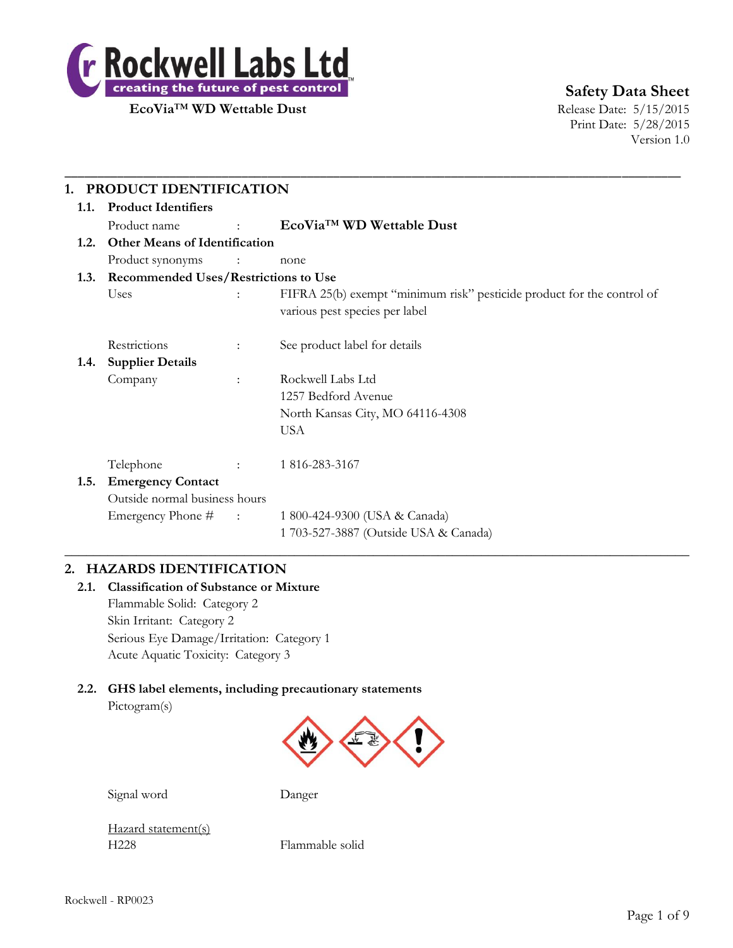

**Safety Data Sheet**

Print Date: 5/28/2015 Version 1.0

| 1.                                        | PRODUCT IDENTIFICATION               |                             |                                                                                                          |  |  |
|-------------------------------------------|--------------------------------------|-----------------------------|----------------------------------------------------------------------------------------------------------|--|--|
| 1.1.                                      | <b>Product Identifiers</b>           |                             |                                                                                                          |  |  |
|                                           | Product name                         | $\mathcal{L}^{\mathcal{L}}$ | EcoVia <sup>™</sup> WD Wettable Dust                                                                     |  |  |
| 1.2.                                      | <b>Other Means of Identification</b> |                             |                                                                                                          |  |  |
|                                           | Product synonyms                     | $\sim$ $\sim$ $\sim$ $\sim$ | none                                                                                                     |  |  |
| 1.3. Recommended Uses/Restrictions to Use |                                      |                             |                                                                                                          |  |  |
|                                           | Uses                                 | ÷                           | FIFRA 25(b) exempt "minimum risk" pesticide product for the control of<br>various pest species per label |  |  |
|                                           | Restrictions                         | ÷                           | See product label for details                                                                            |  |  |
| 1.4.                                      | <b>Supplier Details</b>              |                             |                                                                                                          |  |  |
|                                           | Company                              | $\ddot{\phantom{a}}$        | Rockwell Labs Ltd                                                                                        |  |  |
|                                           |                                      |                             | 1257 Bedford Avenue                                                                                      |  |  |
|                                           |                                      |                             | North Kansas City, MO 64116-4308                                                                         |  |  |
|                                           |                                      |                             | <b>USA</b>                                                                                               |  |  |
|                                           | Telephone                            |                             | 1 816-283-3167                                                                                           |  |  |
| 1.5.                                      | <b>Emergency Contact</b>             |                             |                                                                                                          |  |  |
|                                           | Outside normal business hours        |                             |                                                                                                          |  |  |
|                                           | Emergency Phone #                    | $\sim 1000$ km s $^{-1}$    | 1 800-424-9300 (USA & Canada)                                                                            |  |  |
|                                           |                                      |                             | 1 703-527-3887 (Outside USA & Canada)                                                                    |  |  |

# **2. HAZARDS IDENTIFICATION**

**2.1. Classification of Substance or Mixture** Flammable Solid: Category 2 Skin Irritant: Category 2 Serious Eye Damage/Irritation: Category 1 Acute Aquatic Toxicity: Category 3

# **2.2. GHS label elements, including precautionary statements**

Pictogram(s)



Signal word Danger

Hazard statement(s) H228 Flammable solid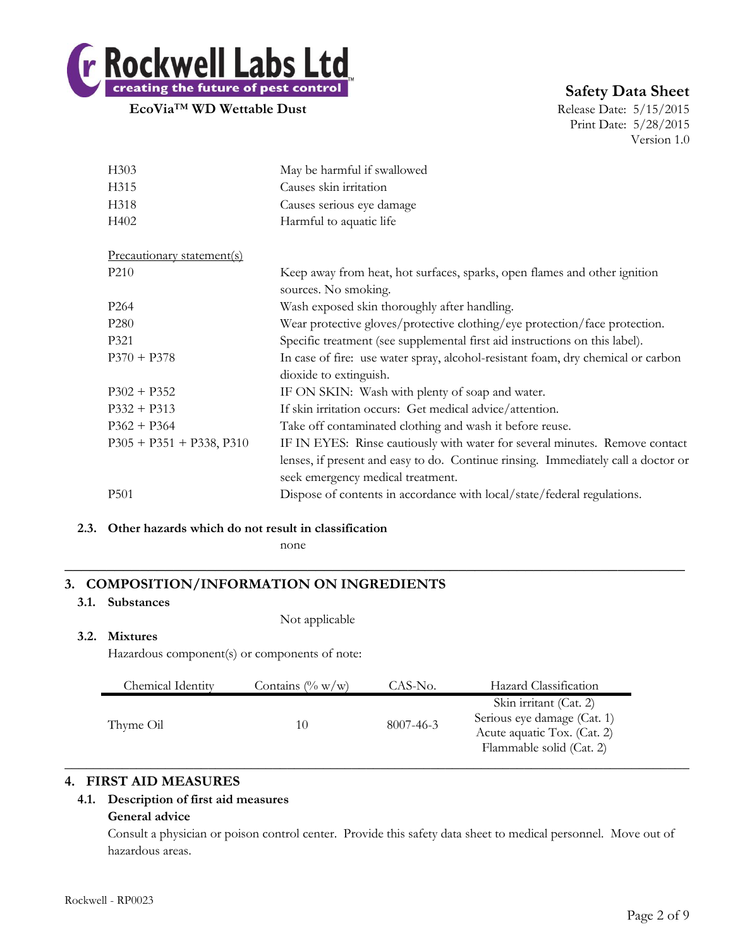

# **Safety Data Sheet**

Print Date: 5/28/2015 Version 1.0

| H303                       | May be harmful if swallowed                                                                                            |  |  |
|----------------------------|------------------------------------------------------------------------------------------------------------------------|--|--|
| H315                       | Causes skin irritation                                                                                                 |  |  |
| H318                       | Causes serious eye damage                                                                                              |  |  |
| H402                       | Harmful to aquatic life                                                                                                |  |  |
| Precautionary statement(s) |                                                                                                                        |  |  |
| P <sub>210</sub>           | Keep away from heat, hot surfaces, sparks, open flames and other ignition<br>sources. No smoking.                      |  |  |
| P <sub>264</sub>           | Wash exposed skin thoroughly after handling.                                                                           |  |  |
| P <sub>280</sub>           | Wear protective gloves/protective clothing/eye protection/face protection.                                             |  |  |
| P321                       | Specific treatment (see supplemental first aid instructions on this label).                                            |  |  |
| $P370 + P378$              | In case of fire: use water spray, alcohol-resistant foam, dry chemical or carbon                                       |  |  |
|                            | dioxide to extinguish.                                                                                                 |  |  |
| $P302 + P352$              | IF ON SKIN: Wash with plenty of soap and water.                                                                        |  |  |
| $P332 + P313$              | If skin irritation occurs: Get medical advice/attention.                                                               |  |  |
| $P362 + P364$              | Take off contaminated clothing and wash it before reuse.                                                               |  |  |
| $P305 + P351 + P338, P310$ | IF IN EYES: Rinse cautiously with water for several minutes. Remove contact                                            |  |  |
|                            | lenses, if present and easy to do. Continue rinsing. Immediately call a doctor or<br>seek emergency medical treatment. |  |  |
| <b>P501</b>                | Dispose of contents in accordance with local/state/federal regulations.                                                |  |  |

#### **2.3. Other hazards which do not result in classification**

none

# **3. COMPOSITION/INFORMATION ON INGREDIENTS**

#### **3.1. Substances**

Not applicable

# **3.2. Mixtures**

Hazardous component(s) or components of note:

| Chemical Identity | Contains $(\% w/w)$ | CAS-No.   | Hazard Classification                                                                                            |
|-------------------|---------------------|-----------|------------------------------------------------------------------------------------------------------------------|
| Thyme Oil         | 10                  | 8007-46-3 | Skin irritant (Cat. 2)<br>Serious eye damage (Cat. 1)<br>Acute aquatic Tox. (Cat. 2)<br>Flammable solid (Cat. 2) |

**\_\_\_\_\_\_\_\_\_\_\_\_\_\_\_\_\_\_\_\_\_\_\_\_\_\_\_\_\_\_\_\_\_\_\_\_\_\_\_\_\_\_\_\_\_\_\_\_\_\_\_\_\_\_\_\_\_\_\_\_\_\_\_\_\_\_\_\_\_\_\_\_\_\_**

# **4. FIRST AID MEASURES**

# **4.1. Description of first aid measures**

# **General advice**

Consult a physician or poison control center. Provide this safety data sheet to medical personnel. Move out of hazardous areas.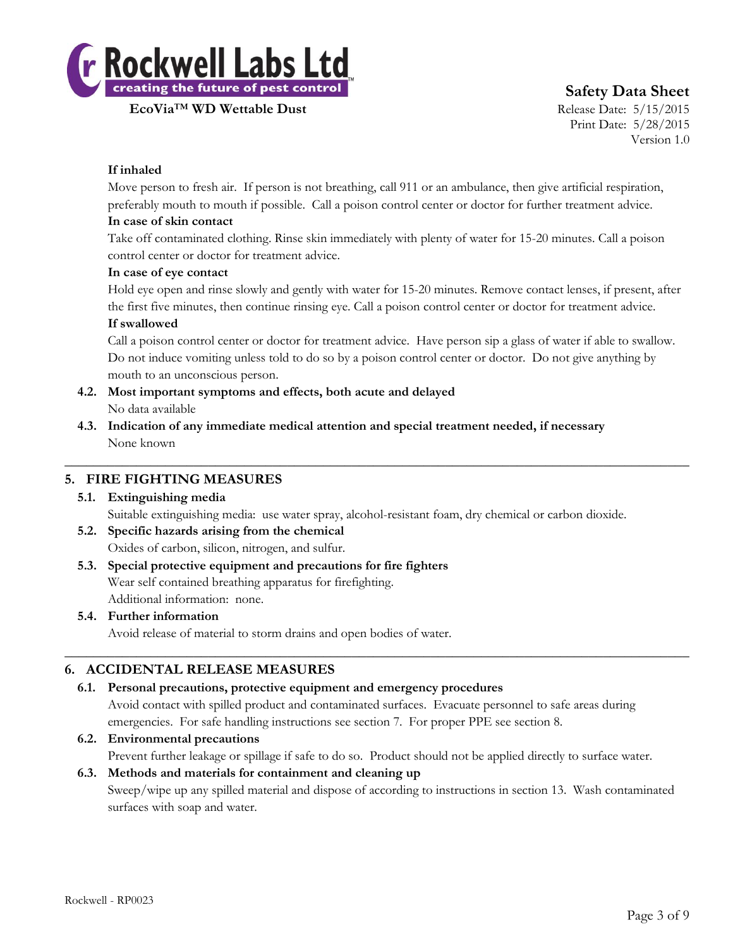

# **Safety Data Sheet**

Print Date: 5/28/2015 Version 1.0

# **If inhaled**

Move person to fresh air. If person is not breathing, call 911 or an ambulance, then give artificial respiration, preferably mouth to mouth if possible. Call a poison control center or doctor for further treatment advice.

#### **In case of skin contact**

Take off contaminated clothing. Rinse skin immediately with plenty of water for 15-20 minutes. Call a poison control center or doctor for treatment advice.

#### **In case of eye contact**

Hold eye open and rinse slowly and gently with water for 15-20 minutes. Remove contact lenses, if present, after the first five minutes, then continue rinsing eye. Call a poison control center or doctor for treatment advice.

#### **If swallowed**

Call a poison control center or doctor for treatment advice. Have person sip a glass of water if able to swallow. Do not induce vomiting unless told to do so by a poison control center or doctor. Do not give anything by mouth to an unconscious person.

- **4.2. Most important symptoms and effects, both acute and delayed** No data available
- **4.3. Indication of any immediate medical attention and special treatment needed, if necessary** None known

# **5. FIRE FIGHTING MEASURES**

# **5.1. Extinguishing media**

Suitable extinguishing media: use water spray, alcohol-resistant foam, dry chemical or carbon dioxide.

 $\_$  , and the set of the set of the set of the set of the set of the set of the set of the set of the set of the set of the set of the set of the set of the set of the set of the set of the set of the set of the set of th

- **5.2. Specific hazards arising from the chemical** Oxides of carbon, silicon, nitrogen, and sulfur.
- **5.3. Special protective equipment and precautions for fire fighters** Wear self contained breathing apparatus for firefighting. Additional information: none.

# **5.4. Further information**

Avoid release of material to storm drains and open bodies of water.

# **6. ACCIDENTAL RELEASE MEASURES**

# **6.1. Personal precautions, protective equipment and emergency procedures**

Avoid contact with spilled product and contaminated surfaces. Evacuate personnel to safe areas during emergencies. For safe handling instructions see section 7. For proper PPE see section 8.

 $\_$  , and the set of the set of the set of the set of the set of the set of the set of the set of the set of the set of the set of the set of the set of the set of the set of the set of the set of the set of the set of th

# **6.2. Environmental precautions**

Prevent further leakage or spillage if safe to do so. Product should not be applied directly to surface water.

# **6.3. Methods and materials for containment and cleaning up** Sweep/wipe up any spilled material and dispose of according to instructions in section 13. Wash contaminated surfaces with soap and water.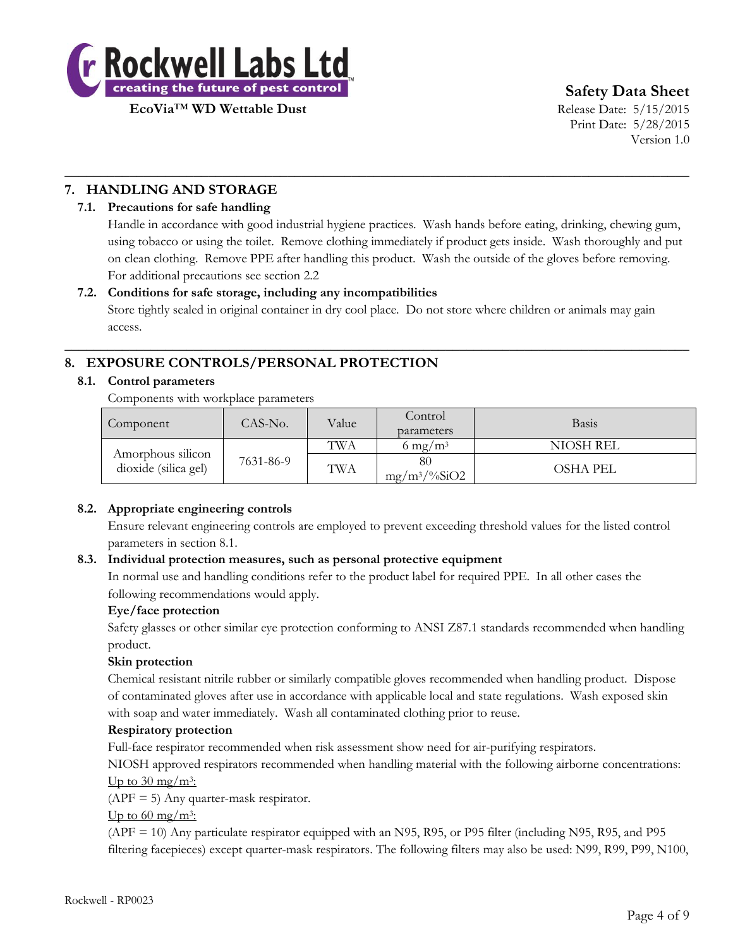

**Safety Data Sheet**

Print Date: 5/28/2015 Version 1.0

# **7. HANDLING AND STORAGE**

# **7.1. Precautions for safe handling**

Handle in accordance with good industrial hygiene practices. Wash hands before eating, drinking, chewing gum, using tobacco or using the toilet. Remove clothing immediately if product gets inside. Wash thoroughly and put on clean clothing. Remove PPE after handling this product. Wash the outside of the gloves before removing. For additional precautions see section 2.2

# **7.2. Conditions for safe storage, including any incompatibilities**

Store tightly sealed in original container in dry cool place. Do not store where children or animals may gain access.

 $\_$  , and the set of the set of the set of the set of the set of the set of the set of the set of the set of the set of the set of the set of the set of the set of the set of the set of the set of the set of the set of th

 $\_$  , and the set of the set of the set of the set of the set of the set of the set of the set of the set of the set of the set of the set of the set of the set of the set of the set of the set of the set of the set of th

# **8. EXPOSURE CONTROLS/PERSONAL PROTECTION**

#### **8.1. Control parameters**

Components with workplace parameters

| Component                                 | CAS-No.   | Value | Control<br>parameters          | Basis           |
|-------------------------------------------|-----------|-------|--------------------------------|-----------------|
|                                           |           | TWA   | 6 mg/m <sup>3</sup>            | NIOSH REL       |
| Amorphous silicon<br>dioxide (silica gel) | 7631-86-9 | TWA   | 80<br>$mg/m^3/\frac{9}{6}SiO2$ | <b>OSHA PEL</b> |

# **8.2. Appropriate engineering controls**

Ensure relevant engineering controls are employed to prevent exceeding threshold values for the listed control parameters in section 8.1.

# **8.3. Individual protection measures, such as personal protective equipment**

In normal use and handling conditions refer to the product label for required PPE. In all other cases the following recommendations would apply.

# **Eye/face protection**

Safety glasses or other similar eye protection conforming to ANSI Z87.1 standards recommended when handling product.

# **Skin protection**

Chemical resistant nitrile rubber or similarly compatible gloves recommended when handling product. Dispose of contaminated gloves after use in accordance with applicable local and state regulations. Wash exposed skin with soap and water immediately. Wash all contaminated clothing prior to reuse.

# **Respiratory protection**

Full-face respirator recommended when risk assessment show need for air-purifying respirators.

NIOSH approved respirators recommended when handling material with the following airborne concentrations: Up to  $30 \text{ mg/m}$ <sup>3</sup>:

 $(APF = 5)$  Any quarter-mask respirator.

Up to  $60 \text{ mg/m}^3$ :

(APF = 10) Any particulate respirator equipped with an N95, R95, or P95 filter (including N95, R95, and P95 filtering facepieces) except quarter-mask respirators. The following filters may also be used: N99, R99, P99, N100,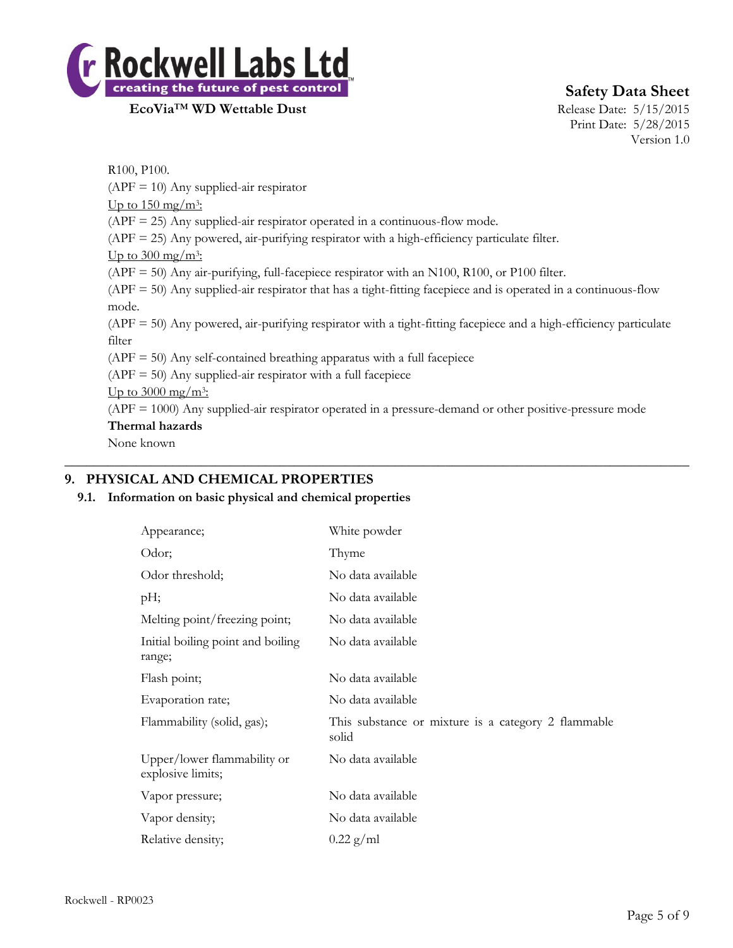

# **Safety Data Sheet**

Print Date: 5/28/2015 Version 1.0

R100, P100.  $(APF = 10)$  Any supplied-air respirator Up to  $150 \text{ mg/m}^3$ : (APF = 25) Any supplied-air respirator operated in a continuous-flow mode. (APF = 25) Any powered, air-purifying respirator with a high-efficiency particulate filter. Up to 300 mg/m<sup>3</sup>: (APF = 50) Any air-purifying, full-facepiece respirator with an N100, R100, or P100 filter. (APF = 50) Any supplied-air respirator that has a tight-fitting facepiece and is operated in a continuous-flow mode. (APF = 50) Any powered, air-purifying respirator with a tight-fitting facepiece and a high-efficiency particulate filter  $(APF = 50)$  Any self-contained breathing apparatus with a full facepiece  $(APF = 50)$  Any supplied-air respirator with a full facepiece Up to  $3000 \text{ mg/m}^3$ : (APF = 1000) Any supplied-air respirator operated in a pressure-demand or other positive-pressure mode **Thermal hazards** None known

# **9. PHYSICAL AND CHEMICAL PROPERTIES**

# **9.1. Information on basic physical and chemical properties**

| Appearance;                                      | White powder                                                 |
|--------------------------------------------------|--------------------------------------------------------------|
| Odor;                                            | Thyme                                                        |
| Odor threshold;                                  | No data available                                            |
| pH;                                              | No data available                                            |
| Melting point/freezing point;                    | No data available                                            |
| Initial boiling point and boiling<br>range;      | No data available                                            |
| Flash point;                                     | No data available                                            |
| Evaporation rate;                                | No data available                                            |
| Flammability (solid, gas);                       | This substance or mixture is a category 2 flammable<br>solid |
| Upper/lower flammability or<br>explosive limits; | No data available                                            |
| Vapor pressure;                                  | No data available                                            |
| Vapor density;                                   | No data available                                            |
| Relative density;                                | $0.22$ g/ml                                                  |

 $\_$  , and the set of the set of the set of the set of the set of the set of the set of the set of the set of the set of the set of the set of the set of the set of the set of the set of the set of the set of the set of th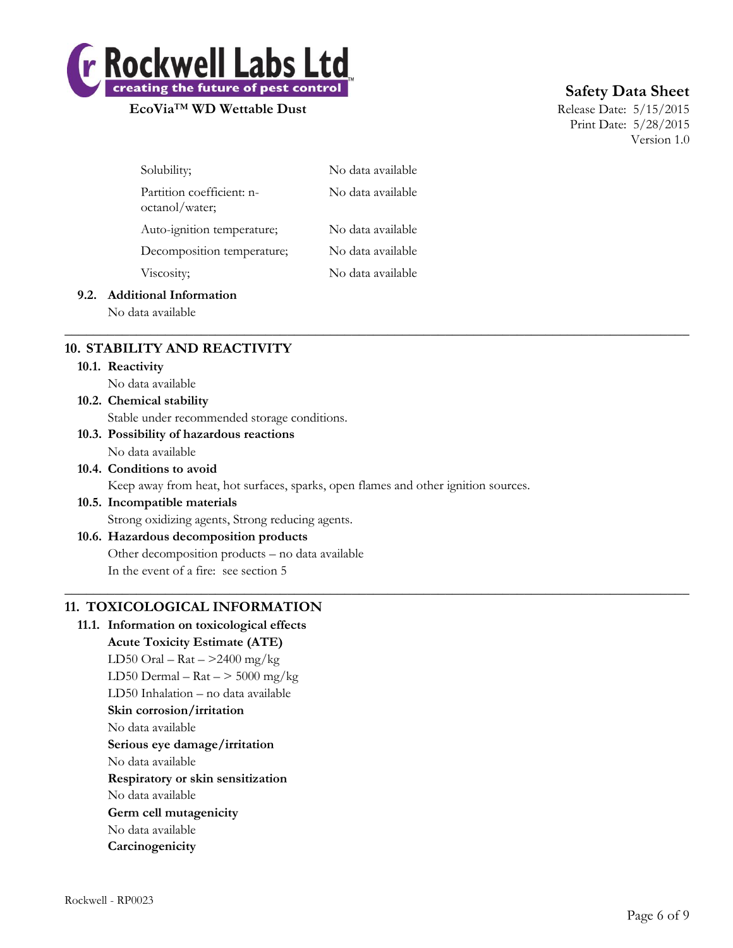

# **Safety Data Sheet**

Print Date: 5/28/2015 Version 1.0

| Solubility;                                 | No data available |
|---------------------------------------------|-------------------|
| Partition coefficient: n-<br>octanol/water; | No data available |
| Auto-ignition temperature;                  | No data available |
| Decomposition temperature;                  | No data available |
| Viscosity;                                  | No data available |
|                                             |                   |

#### **9.2. Additional Information**

No data available

# **10. STABILITY AND REACTIVITY**

#### **10.1. Reactivity**

No data available

# **10.2. Chemical stability** Stable under recommended storage conditions.

#### **10.3. Possibility of hazardous reactions** No data available

# **10.4. Conditions to avoid**

Keep away from heat, hot surfaces, sparks, open flames and other ignition sources.

 $\_$  , and the set of the set of the set of the set of the set of the set of the set of the set of the set of the set of the set of the set of the set of the set of the set of the set of the set of the set of the set of th

 $\_$  , and the set of the set of the set of the set of the set of the set of the set of the set of the set of the set of the set of the set of the set of the set of the set of the set of the set of the set of the set of th

# **10.5. Incompatible materials**

Strong oxidizing agents, Strong reducing agents.

# **10.6. Hazardous decomposition products**

Other decomposition products – no data available In the event of a fire: see section 5

# **11. TOXICOLOGICAL INFORMATION**

**11.1. Information on toxicological effects Acute Toxicity Estimate (ATE)** LD50 Oral –  $\text{Rat} - \text{>2400 mg/kg}$ LD50 Dermal –  $\text{Rat}$  –  $>$  5000 mg/kg LD50 Inhalation – no data available **Skin corrosion/irritation** No data available **Serious eye damage/irritation** No data available **Respiratory or skin sensitization** No data available **Germ cell mutagenicity** No data available **Carcinogenicity**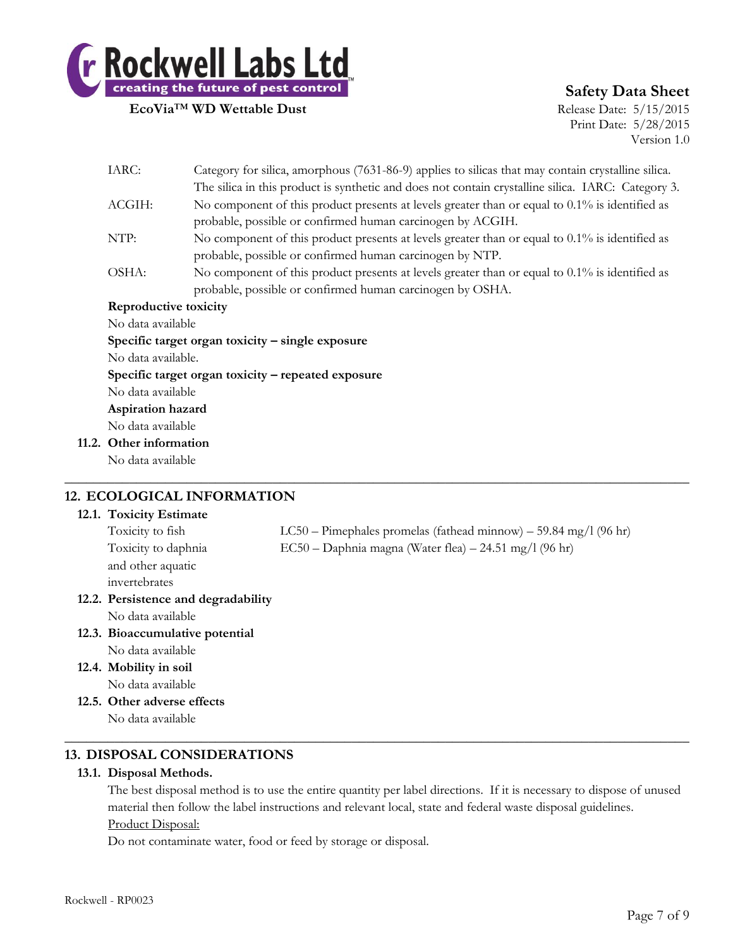

# **Safety Data Sheet**

Print Date: 5/28/2015 Version 1.0

|                                                                                                             | IARC:<br>Category for silica, amorphous (7631-86-9) applies to silicas that may contain crystalline silica. |                                                                                                   |  |
|-------------------------------------------------------------------------------------------------------------|-------------------------------------------------------------------------------------------------------------|---------------------------------------------------------------------------------------------------|--|
|                                                                                                             | The silica in this product is synthetic and does not contain crystalline silica. IARC: Category 3.          |                                                                                                   |  |
| No component of this product presents at levels greater than or equal to $0.1\%$ is identified as<br>ACGIH: |                                                                                                             |                                                                                                   |  |
|                                                                                                             | probable, possible or confirmed human carcinogen by ACGIH.                                                  |                                                                                                   |  |
| No component of this product presents at levels greater than or equal to 0.1% is identified as<br>NTP:      |                                                                                                             |                                                                                                   |  |
|                                                                                                             |                                                                                                             | probable, possible or confirmed human carcinogen by NTP.                                          |  |
|                                                                                                             | OSHA:                                                                                                       | No component of this product presents at levels greater than or equal to $0.1\%$ is identified as |  |
|                                                                                                             |                                                                                                             | probable, possible or confirmed human carcinogen by OSHA.                                         |  |
|                                                                                                             | Reproductive toxicity                                                                                       |                                                                                                   |  |
|                                                                                                             | No data available                                                                                           |                                                                                                   |  |
|                                                                                                             | Specific target organ toxicity $-$ single exposure                                                          |                                                                                                   |  |
|                                                                                                             | No data available.                                                                                          |                                                                                                   |  |
|                                                                                                             | Specific target organ toxicity – repeated exposure                                                          |                                                                                                   |  |
|                                                                                                             | No data available                                                                                           |                                                                                                   |  |
|                                                                                                             | Aspiration hazard                                                                                           |                                                                                                   |  |
|                                                                                                             | No data available                                                                                           |                                                                                                   |  |
|                                                                                                             | 11.2. Other information                                                                                     |                                                                                                   |  |
|                                                                                                             | No data available                                                                                           |                                                                                                   |  |
|                                                                                                             |                                                                                                             |                                                                                                   |  |

#### **12. ECOLOGICAL INFORMATION 12.1. Toxicity Estimate**

| 12.1. <b>I</b> OXICITY ESTIMATE     |                                                                      |
|-------------------------------------|----------------------------------------------------------------------|
| Toxicity to fish                    | $LC50 - P$ imephales promelas (fathead minnow) $-59.84$ mg/l (96 hr) |
| Toxicity to daphnia                 | EC50 - Daphnia magna (Water flea) - 24.51 mg/l (96 hr)               |
| and other aquatic                   |                                                                      |
| invertebrates                       |                                                                      |
| 12.2. Persistence and degradability |                                                                      |
| No data available                   |                                                                      |
| 12.3. Bioaccumulative potential     |                                                                      |
| No data available                   |                                                                      |
| 12.4. Mobility in soil              |                                                                      |
| No data available                   |                                                                      |

**12.5. Other adverse effects** No data available

# **13. DISPOSAL CONSIDERATIONS**

# **13.1. Disposal Methods.**

The best disposal method is to use the entire quantity per label directions. If it is necessary to dispose of unused material then follow the label instructions and relevant local, state and federal waste disposal guidelines. Product Disposal:

 $\_$  , and the set of the set of the set of the set of the set of the set of the set of the set of the set of the set of the set of the set of the set of the set of the set of the set of the set of the set of the set of th

Do not contaminate water, food or feed by storage or disposal.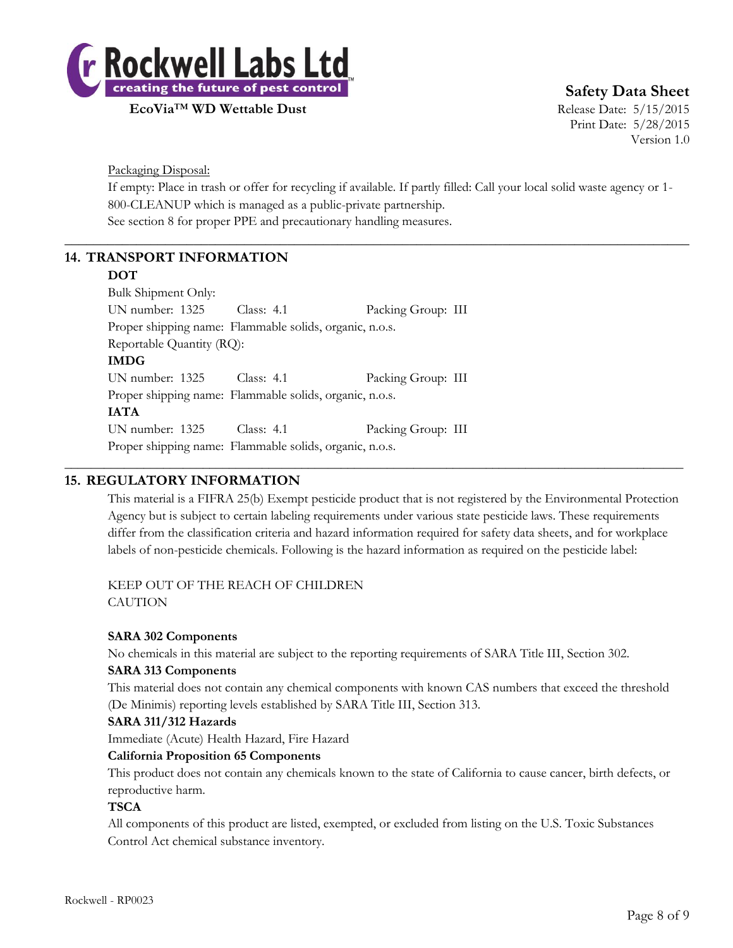

**Safety Data Sheet**

Print Date: 5/28/2015 Version 1.0

Packaging Disposal:

If empty: Place in trash or offer for recycling if available. If partly filled: Call your local solid waste agency or 1- 800-CLEANUP which is managed as a public-private partnership. See section 8 for proper PPE and precautionary handling measures.

 $\_$  , and the set of the set of the set of the set of the set of the set of the set of the set of the set of the set of the set of the set of the set of the set of the set of the set of the set of the set of the set of th

# **14. TRANSPORT INFORMATION**

#### **DOT**

Bulk Shipment Only: UN number: 1325 Class: 4.1 Packing Group: III Proper shipping name: Flammable solids, organic, n.o.s. Reportable Quantity (RQ): **IMDG** UN number: 1325 Class: 4.1 Packing Group: III Proper shipping name: Flammable solids, organic, n.o.s. **IATA** UN number: 1325 Class: 4.1 Packing Group: III Proper shipping name: Flammable solids, organic, n.o.s.

# **15. REGULATORY INFORMATION**

This material is a FIFRA 25(b) Exempt pesticide product that is not registered by the Environmental Protection Agency but is subject to certain labeling requirements under various state pesticide laws. These requirements differ from the classification criteria and hazard information required for safety data sheets, and for workplace labels of non-pesticide chemicals. Following is the hazard information as required on the pesticide label:

\_\_\_\_\_\_\_\_\_\_\_\_\_\_\_\_\_\_\_\_\_\_\_\_\_\_\_\_\_\_\_\_\_\_\_\_\_\_\_\_\_\_\_\_\_\_\_\_\_\_\_\_\_\_\_\_\_\_\_\_\_\_\_\_\_\_\_\_\_\_\_\_\_\_\_\_\_\_\_\_\_\_\_\_\_\_\_\_\_\_\_\_\_\_

KEEP OUT OF THE REACH OF CHILDREN CAUTION

# **SARA 302 Components**

No chemicals in this material are subject to the reporting requirements of SARA Title III, Section 302.

#### **SARA 313 Components**

This material does not contain any chemical components with known CAS numbers that exceed the threshold (De Minimis) reporting levels established by SARA Title III, Section 313.

#### **SARA 311/312 Hazards**

Immediate (Acute) Health Hazard, Fire Hazard

# **California Proposition 65 Components**

This product does not contain any chemicals known to the state of California to cause cancer, birth defects, or reproductive harm.

# **TSCA**

All components of this product are listed, exempted, or excluded from listing on the U.S. Toxic Substances Control Act chemical substance inventory.